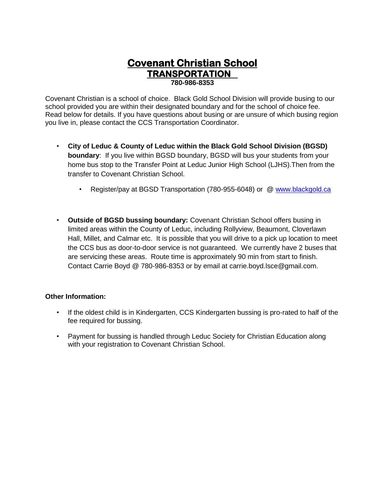## **Covenant Christian School TRANSPORTATION** 780-986-8353

Covenant Christian is a school of choice. Black Gold School Division will provide busing to our school provided you are within their designated boundary and for the school of choice fee. Read below for details. If you have questions about busing or are unsure of which busing region you live in, please contact the CCS Transportation Coordinator.

- City of Leduc & County of Leduc within the Black Gold School Division (BGSD) boundary: If you live within BGSD boundary, BGSD will bus your students from your home bus stop to the Transfer Point at Leduc Junior High School (LJHS). Then from the transfer to Covenant Christian School.
	- Register/pay at BGSD Transportation (780-955-6048) or @ www.blackgold.ca
- Outside of BGSD bussing boundary: Covenant Christian School offers busing in limited areas within the County of Leduc, including Rollyview, Beaumont, Cloverlawn Hall, Millet, and Calmar etc. It is possible that you will drive to a pick up location to meet the CCS bus as door-to-door service is not guaranteed. We currently have 2 buses that are servicing these areas. Route time is approximately 90 min from start to finish. Contact Carrie Boyd @ 780-986-8353 or by email at carrie.boyd.lsce@gmail.com.

## **Other Information:**

- If the oldest child is in Kindergarten, CCS Kindergarten bussing is pro-rated to half of the fee required for bussing.
- Payment for bussing is handled through Leduc Society for Christian Education along with your registration to Covenant Christian School.